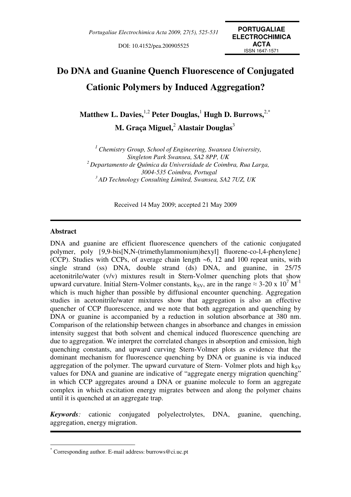DOI: 10.4152/pea.200905525

# **Do DNA and Guanine Quench Fluorescence of Conjugated Cationic Polymers by Induced Aggregation?**

 $\mathbf{M}$ atthew  $\mathbf{L}$ . Davies, $^{1,2}$  Peter Douglas, $^{1}$  Hugh  $\mathbf{D}$ . Burrows, $^{2, *}$ **M. Graça Miguel,**<sup>2</sup>  **Alastair Douglas**<sup>3</sup>

*<sup>1</sup> Chemistry Group, School of Engineering, Swansea University, Singleton Park Swansea, SA2 8PP, UK <sup>2</sup>Departamento de Química da Universidade de Coimbra, Rua Larga, 3004-535 Coimbra, Portugal <sup>3</sup>AD Technology Consulting Limited, Swansea, SA2 7UZ, UK* 

Received 14 May 2009; accepted 21 May 2009

#### **Abstract**

 $\overline{a}$ 

DNA and guanine are efficient fluorescence quenchers of the cationic conjugated polymer, poly {9,9-bis[N,N-(trimethylammonium)hexyl] fluorene-co-l,4-phenylene} (CCP). Studies with CCPs, of average chain length ~6, 12 and 100 repeat units, with single strand (ss) DNA, double strand (ds) DNA, and guanine, in 25/75 acetonitrile/water (v/v) mixtures result in Stern-Volmer quenching plots that show upward curvature. Initial Stern-Volmer constants,  $k_{SV}$ , are in the range  $\approx$  3-20 x 10<sup>7</sup> M<sup>-1</sup> which is much higher than possible by diffusional encounter quenching. Aggregation studies in acetonitrile/water mixtures show that aggregation is also an effective quencher of CCP fluorescence, and we note that both aggregation and quenching by DNA or guanine is accompanied by a reduction in solution absorbance at 380 nm. Comparison of the relationship between changes in absorbance and changes in emission intensity suggest that both solvent and chemical induced fluorescence quenching are due to aggregation. We interpret the correlated changes in absorption and emission, high quenching constants, and upward curving Stern-Volmer plots as evidence that the dominant mechanism for fluorescence quenching by DNA or guanine is via induced aggregation of the polymer. The upward curvature of Stern- Volmer plots and high  $k_{SV}$ values for DNA and guanine are indicative of "aggregate energy migration quenching" in which CCP aggregates around a DNA or guanine molecule to form an aggregate complex in which excitation energy migrates between and along the polymer chains until it is quenched at an aggregate trap.

*Keywords:* cationic conjugated polyelectrolytes, DNA, guanine, quenching, aggregation, energy migration.

<sup>\*</sup> Corresponding author. E-mail address: burrows@ci.uc.pt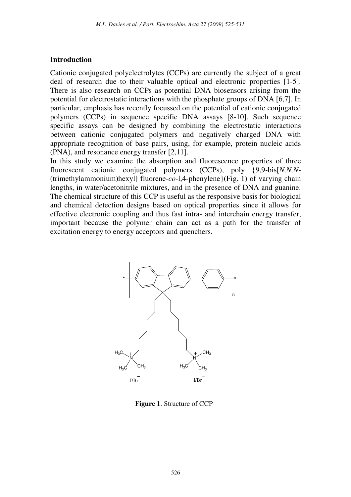#### **Introduction**

Cationic conjugated polyelectrolytes (CCPs) are currently the subject of a great deal of research due to their valuable optical and electronic properties [1-5]. There is also research on CCPs as potential DNA biosensors arising from the potential for electrostatic interactions with the phosphate groups of DNA [6,7]. In particular, emphasis has recently focussed on the potential of cationic conjugated polymers (CCPs) in sequence specific DNA assays [8-10]. Such sequence specific assays can be designed by combining the electrostatic interactions between cationic conjugated polymers and negatively charged DNA with appropriate recognition of base pairs, using, for example, protein nucleic acids (PNA), and resonance energy transfer [2,11].

In this study we examine the absorption and fluorescence properties of three fluorescent cationic conjugated polymers (CCPs), poly {9,9-bis[*N,N,N*- (trimethylammonium)hexyl] fluorene-*co*-l,4-phenylene}(Fig. 1) of varying chain lengths, in water/acetonitrile mixtures, and in the presence of DNA and guanine. The chemical structure of this CCP is useful as the responsive basis for biological and chemical detection designs based on optical properties since it allows for effective electronic coupling and thus fast intra- and interchain energy transfer, important because the polymer chain can act as a path for the transfer of excitation energy to energy acceptors and quenchers.



**Figure 1**. Structure of CCP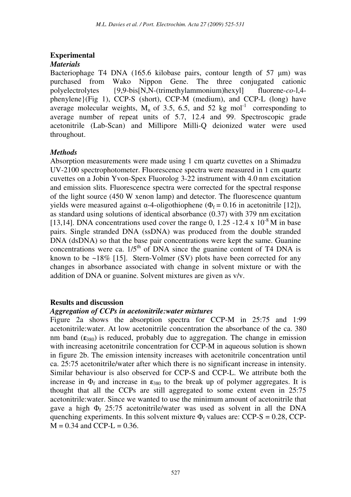# **Experimental**

#### *Materials*

Bacteriophage T4 DNA (165.6 kilobase pairs, contour length of 57  $\mu$ m) was purchased from Wako Nippon Gene. The three conjugated cationic polyelectrolytes {9,9-bis[N,N-(trimethylammonium)hexyl] fluorene-*co*-l,4 phenylene}(Fig 1), CCP-S (short), CCP-M (medium), and CCP-L (long) have average molecular weights,  $M_n$  of 3.5, 6.5, and 52 kg mol<sup>-1</sup> corresponding to average number of repeat units of 5.7, 12.4 and 99. Spectroscopic grade acetonitrile (Lab-Scan) and Millipore Milli-Q deionized water were used throughout.

# *Methods*

Absorption measurements were made using 1 cm quartz cuvettes on a Shimadzu UV-2100 spectrophotometer. Fluorescence spectra were measured in 1 cm quartz cuvettes on a Jobin Yvon-Spex Fluorolog 3-22 instrument with 4.0 nm excitation and emission slits. Fluorescence spectra were corrected for the spectral response of the light source (450 W xenon lamp) and detector. The fluorescence quantum yields were measured against α-4-oligothiophene ( $Φ<sub>f</sub> = 0.16$  in acetonitrile [12]), as standard using solutions of identical absorbance (0.37) with 379 nm excitation [13,14]. DNA concentrations used cover the range 0, 1.25 -12.4 x  $10^{-8}$  M in base pairs. Single stranded DNA (ssDNA) was produced from the double stranded DNA (dsDNA) so that the base pair concentrations were kept the same. Guanine concentrations were ca.  $1/5<sup>th</sup>$  of DNA since the guanine content of T4 DNA is known to be  $\sim$ 18% [15]. Stern-Volmer (SV) plots have been corrected for any changes in absorbance associated with change in solvent mixture or with the addition of DNA or guanine. Solvent mixtures are given as v/v.

# **Results and discussion**

# *Aggregation of CCPs in acetonitrile:water mixtures*

Figure 2a shows the absorption spectra for CCP-M in 25:75 and 1:99 acetonitrile:water. At low acetonitrile concentration the absorbance of the ca. 380 nm band  $(\epsilon_{380})$  is reduced, probably due to aggregation. The change in emission with increasing acetonitrile concentration for CCP-M in aqueous solution is shown in figure 2b. The emission intensity increases with acetonitrile concentration until ca. 25:75 acetonitrile/water after which there is no significant increase in intensity. Similar behaviour is also observed for CCP-S and CCP-L. We attribute both the increase in  $\Phi_f$  and increase in  $\varepsilon_{380}$  to the break up of polymer aggregates. It is thought that all the CCPs are still aggregated to some extent even in 25:75 acetonitrile:water. Since we wanted to use the minimum amount of acetonitrile that gave a high  $\Phi_f$  25:75 acetonitrile/water was used as solvent in all the DNA quenching experiments. In this solvent mixture  $\Phi_f$  values are: CCP-S = 0.28, CCP- $M = 0.34$  and CCP-L = 0.36.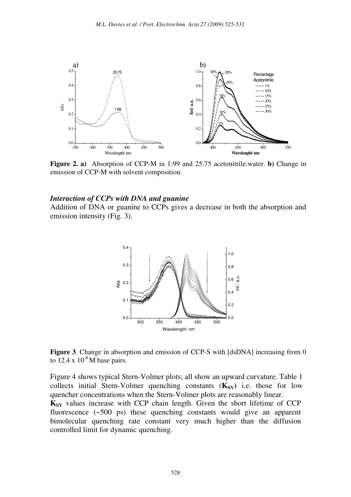

**Figure 2. a)** Absorption of CCP-M in 1:99 and 25:75 acetonitrile:water. **b)** Change in emission of CCP-M with solvent composition.

#### *Interaction of CCPs with DNA and guanine*

Addition of DNA or guanine to CCPs gives a decrease in both the absorption and emission intensity (Fig. 3).



**Figure 3**. Change in absorption and emission of CCP-S with [dsDNA] increasing from 0 to  $12.4 \times 10^{-8}$  M base pairs.

Figure 4 shows typical Stern-Volmer plots; all show an upward curvature. Table 1 collects initial Stern-Volmer quenching constants  $(K_{SV})$  i.e. those for low quencher concentrations when the Stern-Volmer plots are reasonably linear.

**Ksv** values increase with CCP chain length. Given the short lifetime of CCP fluorescence (~500 ps) these quenching constants would give an apparent bimolecular quenching rate constant very much higher than the diffusion controlled limit for dynamic quenching.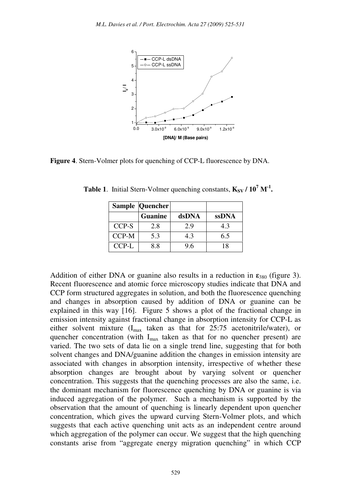

**Figure 4**. Stern-Volmer plots for quenching of CCP-L fluorescence by DNA.

|       | <b>Sample Quencher</b> |       |              |
|-------|------------------------|-------|--------------|
|       | <b>Guanine</b>         | dsDNA | <b>ssDNA</b> |
| CCP-S | 2.8                    | 2.9   | 4.3          |
| CCP-M | 5.3                    | 43    | 6.5          |
| CCP-L | 8.8                    | 96    | 18           |

**Table 1**. Initial Stern-Volmer quenching constants,  $K_{SV}$  /  $10^7$   $M$ <sup>-1</sup>.

Addition of either DNA or guanine also results in a reduction in  $\epsilon_{380}$  (figure 3). Recent fluorescence and atomic force microscopy studies indicate that DNA and CCP form structured aggregates in solution, and both the fluorescence quenching and changes in absorption caused by addition of DNA or guanine can be explained in this way [16]. Figure 5 shows a plot of the fractional change in emission intensity against fractional change in absorption intensity for CCP-L as either solvent mixture  $(I_{max}$  taken as that for 25:75 acetonitrile/water), or quencher concentration (with  $I_{max}$  taken as that for no quencher present) are varied. The two sets of data lie on a single trend line, suggesting that for both solvent changes and DNA/guanine addition the changes in emission intensity are associated with changes in absorption intensity, irrespective of whether these absorption changes are brought about by varying solvent or quencher concentration. This suggests that the quenching processes are also the same, i.e. the dominant mechanism for fluorescence quenching by DNA or guanine is via induced aggregation of the polymer. Such a mechanism is supported by the observation that the amount of quenching is linearly dependent upon quencher concentration, which gives the upward curving Stern-Volmer plots, and which suggests that each active quenching unit acts as an independent centre around which aggregation of the polymer can occur. We suggest that the high quenching constants arise from "aggregate energy migration quenching" in which CCP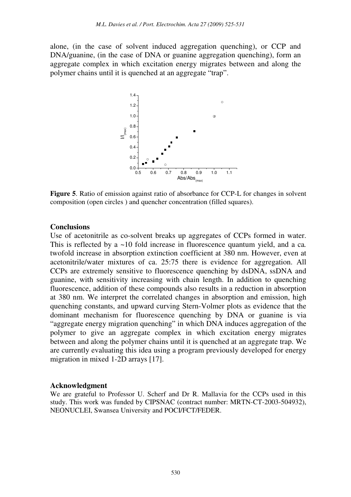alone, (in the case of solvent induced aggregation quenching), or CCP and DNA/guanine, (in the case of DNA or guanine aggregation quenching), form an aggregate complex in which excitation energy migrates between and along the polymer chains until it is quenched at an aggregate "trap".



**Figure 5**. Ratio of emission against ratio of absorbance for CCP-L for changes in solvent composition (open circles ) and quencher concentration (filled squares).

#### **Conclusions**

Use of acetonitrile as co-solvent breaks up aggregates of CCPs formed in water. This is reflected by a ~10 fold increase in fluorescence quantum yield, and a ca*.* twofold increase in absorption extinction coefficient at 380 nm. However, even at acetonitrile/water mixtures of ca. 25:75 there is evidence for aggregation. All CCPs are extremely sensitive to fluorescence quenching by dsDNA, ssDNA and guanine, with sensitivity increasing with chain length. In addition to quenching fluorescence, addition of these compounds also results in a reduction in absorption at 380 nm. We interpret the correlated changes in absorption and emission, high quenching constants, and upward curving Stern-Volmer plots as evidence that the dominant mechanism for fluorescence quenching by DNA or guanine is via "aggregate energy migration quenching" in which DNA induces aggregation of the polymer to give an aggregate complex in which excitation energy migrates between and along the polymer chains until it is quenched at an aggregate trap. We are currently evaluating this idea using a program previously developed for energy migration in mixed 1-2D arrays [17].

#### **Acknowledgment**

We are grateful to Professor U. Scherf and Dr R. Mallavia for the CCPs used in this study. This work was funded by CIPSNAC (contract number: MRTN-CT-2003-504932), NEONUCLEI, Swansea University and POCI/FCT/FEDER.